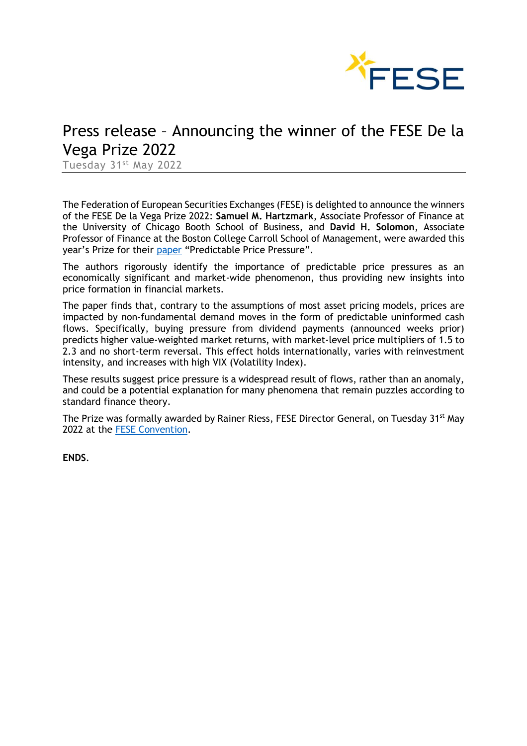

# Press release – Announcing the winner of the FESE De la Vega Prize 2022

Tuesday 31st May 2022

The Federation of European Securities Exchanges (FESE) is delighted to announce the winners of the FESE De la Vega Prize 2022: **Samuel M. Hartzmark**, Associate Professor of Finance at the University of Chicago Booth School of Business, and **David H. Solomon**, Associate Professor of Finance at the Boston College Carroll School of Management, were awarded this year's Prize for their [paper](https://www.fese.eu/app/uploads/2022/05/Predictable-Price-Pressure-Samuel-Hartzmark-and-David-Solomon.pdf) "Predictable Price Pressure".

The authors rigorously identify the importance of predictable price pressures as an economically significant and market-wide phenomenon, thus providing new insights into price formation in financial markets.

The paper finds that, contrary to the assumptions of most asset pricing models, prices are impacted by non-fundamental demand moves in the form of predictable uninformed cash flows. Specifically, buying pressure from dividend payments (announced weeks prior) predicts higher value-weighted market returns, with market-level price multipliers of 1.5 to 2.3 and no short-term reversal. This effect holds internationally, varies with reinvestment intensity, and increases with high VIX (Volatility Index).

These results suggest price pressure is a widespread result of flows, rather than an anomaly, and could be a potential explanation for many phenomena that remain puzzles according to standard finance theory.

The Prize was formally awarded by Rainer Riess, FESE Director General, on Tuesday 31<sup>st</sup> May 2022 at the [FESE Convention.](https://events.fese.eu/convention-22-session-1/)

**ENDS**.